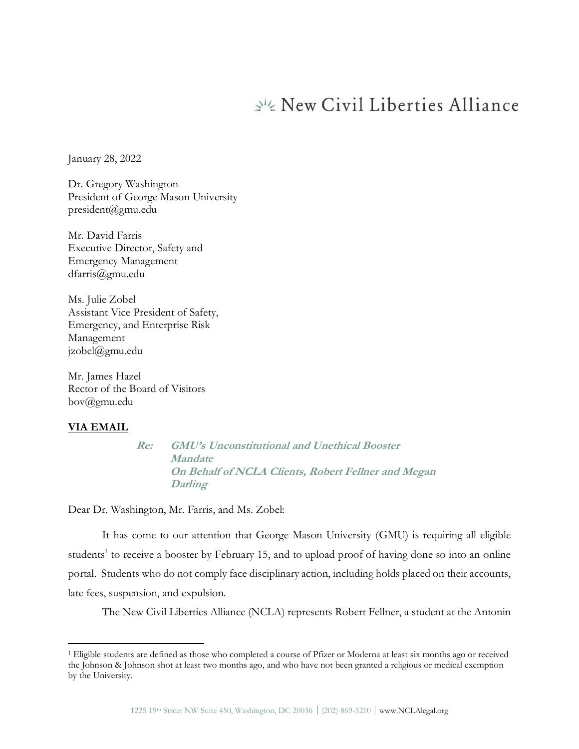# New Civil Liberties Alliance

January 28, 2022

Dr. Gregory Washington President of George Mason University president@gmu.edu

Mr. David Farris Executive Director, Safety and Emergency Management dfarris@gmu.edu

Ms. Julie Zobel Assistant Vice President of Safety, Emergency, and Enterprise Risk Management jzobel@gmu.edu

Mr. James Hazel Rector of the Board of Visitors bov@gmu.edu

#### **VIA EMAIL**

**Re: GMU's Unconstitutional and Unethical Booster Mandate On Behalf of NCLA Clients, Robert Fellner and Megan Darling** 

Dear Dr. Washington, Mr. Farris, and Ms. Zobel:

It has come to our attention that George Mason University (GMU) is requiring all eligible students<sup>1</sup> to receive a booster by February 15, and to upload proof of having done so into an online portal. Students who do not comply face disciplinary action, including holds placed on their accounts, late fees, suspension, and expulsion.

The New Civil Liberties Alliance (NCLA) represents Robert Fellner, a student at the Antonin

<sup>1</sup> Eligible students are defined as those who completed a course of Pfizer or Moderna at least six months ago or received the Johnson & Johnson shot at least two months ago, and who have not been granted a religious or medical exemption by the University.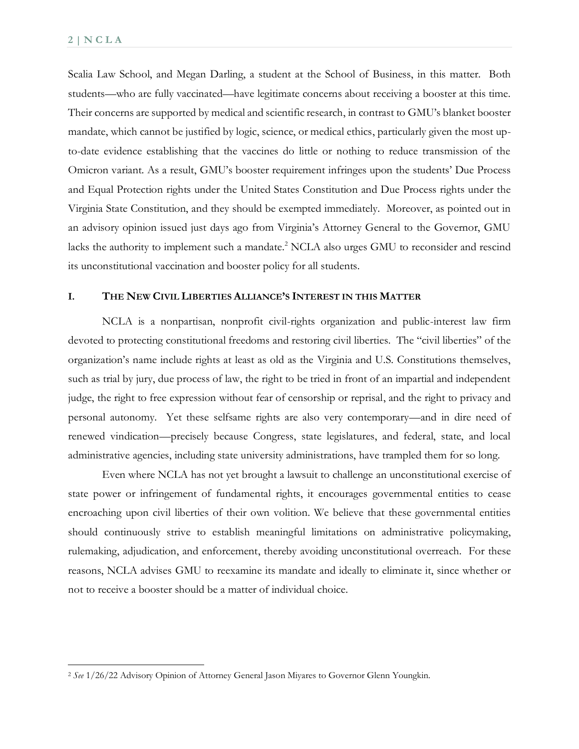Scalia Law School, and Megan Darling, a student at the School of Business, in this matter. Both students—who are fully vaccinated—have legitimate concerns about receiving a booster at this time. Their concerns are supported by medical and scientific research, in contrast to GMU's blanket booster mandate, which cannot be justified by logic, science, or medical ethics, particularly given the most upto-date evidence establishing that the vaccines do little or nothing to reduce transmission of the Omicron variant. As a result, GMU's booster requirement infringes upon the students' Due Process and Equal Protection rights under the United States Constitution and Due Process rights under the Virginia State Constitution, and they should be exempted immediately. Moreover, as pointed out in an advisory opinion issued just days ago from Virginia's Attorney General to the Governor, GMU lacks the authority to implement such a mandate.<sup>2</sup> NCLA also urges GMU to reconsider and rescind its unconstitutional vaccination and booster policy for all students.

#### **I. THE NEW CIVIL LIBERTIES ALLIANCE'S INTEREST IN THIS MATTER**

NCLA is a nonpartisan, nonprofit civil-rights organization and public-interest law firm devoted to protecting constitutional freedoms and restoring civil liberties. The "civil liberties" of the organization's name include rights at least as old as the Virginia and U.S. Constitutions themselves, such as trial by jury, due process of law, the right to be tried in front of an impartial and independent judge, the right to free expression without fear of censorship or reprisal, and the right to privacy and personal autonomy. Yet these selfsame rights are also very contemporary—and in dire need of renewed vindication—precisely because Congress, state legislatures, and federal, state, and local administrative agencies, including state university administrations, have trampled them for so long.

Even where NCLA has not yet brought a lawsuit to challenge an unconstitutional exercise of state power or infringement of fundamental rights, it encourages governmental entities to cease encroaching upon civil liberties of their own volition. We believe that these governmental entities should continuously strive to establish meaningful limitations on administrative policymaking, rulemaking, adjudication, and enforcement, thereby avoiding unconstitutional overreach. For these reasons, NCLA advises GMU to reexamine its mandate and ideally to eliminate it, since whether or not to receive a booster should be a matter of individual choice.

<sup>2</sup> *See* 1/26/22 Advisory Opinion of Attorney General Jason Miyares to Governor Glenn Youngkin.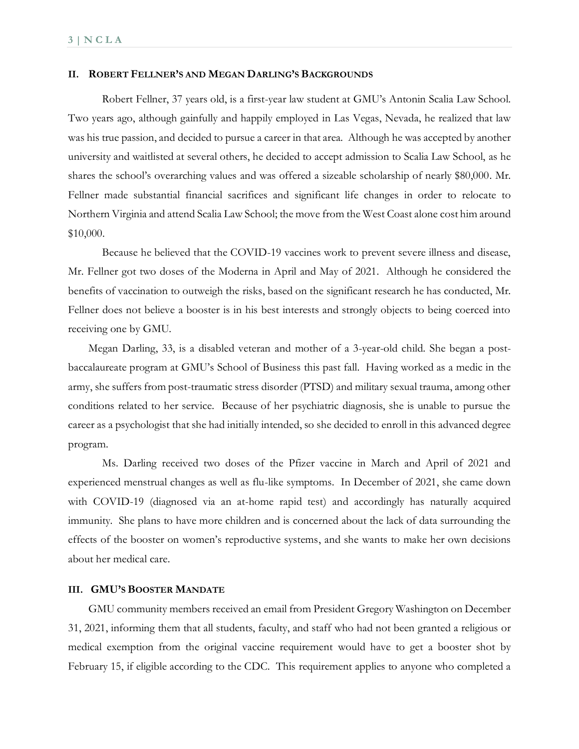#### **II. ROBERT FELLNER'S AND MEGAN DARLING'S BACKGROUNDS**

Robert Fellner, 37 years old, is a first-year law student at GMU's Antonin Scalia Law School. Two years ago, although gainfully and happily employed in Las Vegas, Nevada, he realized that law was his true passion, and decided to pursue a career in that area. Although he was accepted by another university and waitlisted at several others, he decided to accept admission to Scalia Law School, as he shares the school's overarching values and was offered a sizeable scholarship of nearly \$80,000. Mr. Fellner made substantial financial sacrifices and significant life changes in order to relocate to Northern Virginia and attend Scalia Law School; the move from the West Coast alone cost him around \$10,000.

Because he believed that the COVID-19 vaccines work to prevent severe illness and disease, Mr. Fellner got two doses of the Moderna in April and May of 2021. Although he considered the benefits of vaccination to outweigh the risks, based on the significant research he has conducted, Mr. Fellner does not believe a booster is in his best interests and strongly objects to being coerced into receiving one by GMU.

Megan Darling, 33, is a disabled veteran and mother of a 3-year-old child. She began a postbaccalaureate program at GMU's School of Business this past fall. Having worked as a medic in the army, she suffers from post-traumatic stress disorder (PTSD) and military sexual trauma, among other conditions related to her service. Because of her psychiatric diagnosis, she is unable to pursue the career as a psychologist that she had initially intended, so she decided to enroll in this advanced degree program.

Ms. Darling received two doses of the Pfizer vaccine in March and April of 2021 and experienced menstrual changes as well as flu-like symptoms. In December of 2021, she came down with COVID-19 (diagnosed via an at-home rapid test) and accordingly has naturally acquired immunity. She plans to have more children and is concerned about the lack of data surrounding the effects of the booster on women's reproductive systems, and she wants to make her own decisions about her medical care.

#### **III. GMU'S BOOSTER MANDATE**

GMU community members received an email from President Gregory Washington on December 31, 2021, informing them that all students, faculty, and staff who had not been granted a religious or medical exemption from the original vaccine requirement would have to get a booster shot by February 15, if eligible according to the CDC. This requirement applies to anyone who completed a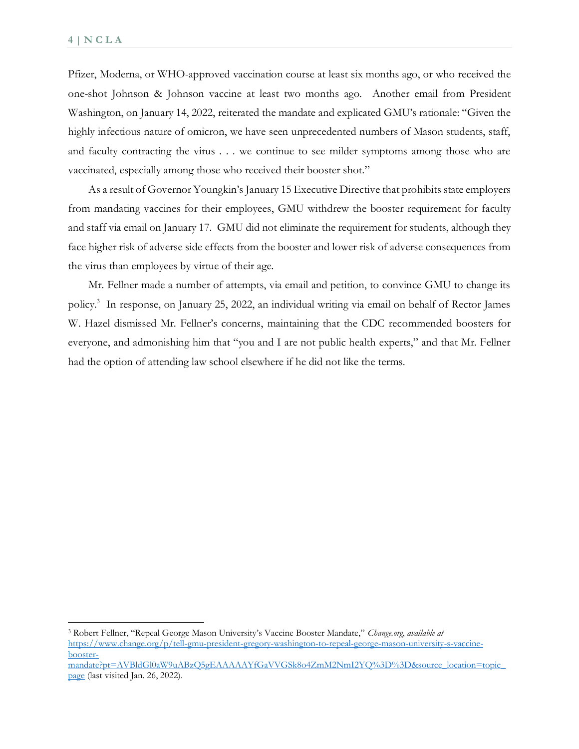Pfizer, Moderna, or WHO-approved vaccination course at least six months ago, or who received the one-shot Johnson & Johnson vaccine at least two months ago. Another email from President Washington, on January 14, 2022, reiterated the mandate and explicated GMU's rationale: "Given the highly infectious nature of omicron, we have seen unprecedented numbers of Mason students, staff, and faculty contracting the virus . . . we continue to see milder symptoms among those who are vaccinated, especially among those who received their booster shot."

As a result of Governor Youngkin's January 15 Executive Directive that prohibits state employers from mandating vaccines for their employees, GMU withdrew the booster requirement for faculty and staff via email on January 17. GMU did not eliminate the requirement for students, although they face higher risk of adverse side effects from the booster and lower risk of adverse consequences from the virus than employees by virtue of their age.

Mr. Fellner made a number of attempts, via email and petition, to convince GMU to change its policy.<sup>3</sup> In response, on January 25, 2022, an individual writing via email on behalf of Rector James W. Hazel dismissed Mr. Fellner's concerns, maintaining that the CDC recommended boosters for everyone, and admonishing him that "you and I are not public health experts," and that Mr. Fellner had the option of attending law school elsewhere if he did not like the terms.

<sup>3</sup> Robert Fellner, "Repeal George Mason University's Vaccine Booster Mandate," *Change.org*, *available at*  [https://www.change.org/p/tell-gmu-president-gregory-washington-to-repeal-george-mason-university-s-vaccine](https://www.change.org/p/tell-gmu-president-gregory-washington-to-repeal-george-mason-university-s-vaccine-booster-mandate?pt=AVBldGl0aW9uABzQ5gEAAAAAYfGaVVGSk8o4ZmM2NmI2YQ%3D%3D&source_location=topic_page)[booster-](https://www.change.org/p/tell-gmu-president-gregory-washington-to-repeal-george-mason-university-s-vaccine-booster-mandate?pt=AVBldGl0aW9uABzQ5gEAAAAAYfGaVVGSk8o4ZmM2NmI2YQ%3D%3D&source_location=topic_page)

[mandate?pt=AVBldGl0aW9uABzQ5gEAAAAAYfGaVVGSk8o4ZmM2NmI2YQ%3D%3D&source\\_location=topic\\_](https://www.change.org/p/tell-gmu-president-gregory-washington-to-repeal-george-mason-university-s-vaccine-booster-mandate?pt=AVBldGl0aW9uABzQ5gEAAAAAYfGaVVGSk8o4ZmM2NmI2YQ%3D%3D&source_location=topic_page) [page](https://www.change.org/p/tell-gmu-president-gregory-washington-to-repeal-george-mason-university-s-vaccine-booster-mandate?pt=AVBldGl0aW9uABzQ5gEAAAAAYfGaVVGSk8o4ZmM2NmI2YQ%3D%3D&source_location=topic_page) (last visited Jan. 26, 2022).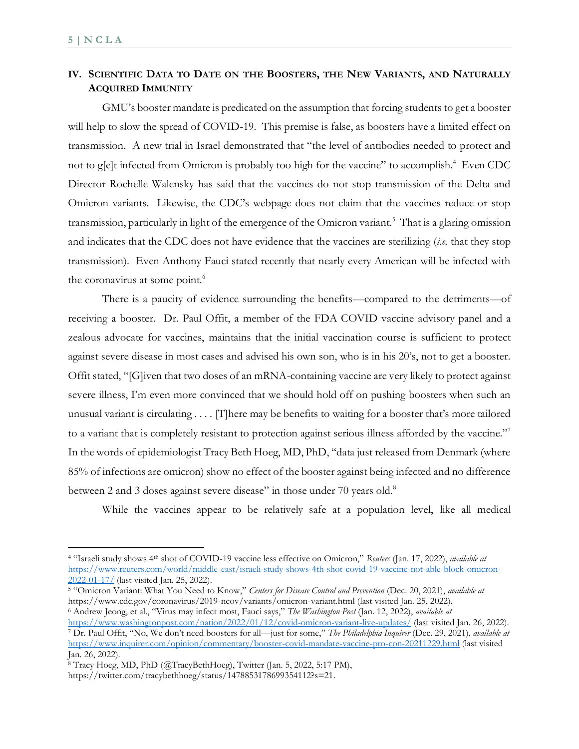## **IV. SCIENTIFIC DATA TO DATE ON THE BOOSTERS, THE NEW VARIANTS, AND NATURALLY ACQUIRED IMMUNITY**

GMU's booster mandate is predicated on the assumption that forcing students to get a booster will help to slow the spread of COVID-19. This premise is false, as boosters have a limited effect on transmission. A new trial in Israel demonstrated that "the level of antibodies needed to protect and not to g[e]t infected from Omicron is probably too high for the vaccine" to accomplish.<sup>4</sup> Even CDC Director Rochelle Walensky has said that the vaccines do not stop transmission of the Delta and Omicron variants. Likewise, the CDC's webpage does not claim that the vaccines reduce or stop transmission, particularly in light of the emergence of the Omicron variant.<sup>5</sup> That is a glaring omission and indicates that the CDC does not have evidence that the vaccines are sterilizing (*i.e.* that they stop transmission). Even Anthony Fauci stated recently that nearly every American will be infected with the coronavirus at some point.<sup>6</sup>

There is a paucity of evidence surrounding the benefits—compared to the detriments—of receiving a booster. Dr. Paul Offit, a member of the FDA COVID vaccine advisory panel and a zealous advocate for vaccines, maintains that the initial vaccination course is sufficient to protect against severe disease in most cases and advised his own son, who is in his 20's, not to get a booster. Offit stated, "[G]iven that two doses of an mRNA-containing vaccine are very likely to protect against severe illness, I'm even more convinced that we should hold off on pushing boosters when such an unusual variant is circulating . . . . [T]here may be benefits to waiting for a booster that's more tailored to a variant that is completely resistant to protection against serious illness afforded by the vaccine."<sup>7</sup> In the words of epidemiologist Tracy Beth Hoeg, MD, PhD, "data just released from Denmark (where 85% of infections are omicron) show no effect of the booster against being infected and no difference between 2 and 3 doses against severe disease" in those under 70 years old.<sup>8</sup>

While the vaccines appear to be relatively safe at a population level, like all medical

<sup>4</sup> "Israeli study shows 4th shot of COVID-19 vaccine less effective on Omicron," *Reuters* (Jan. 17, 2022), *available at*  [https://www.reuters.com/world/middle-east/israeli-study-shows-4th-shot-covid-19-vaccine-not-able-block-omicron-](https://www.reuters.com/world/middle-east/israeli-study-shows-4th-shot-covid-19-vaccine-not-able-block-omicron-2022-01-17/)[2022-01-17/](https://www.reuters.com/world/middle-east/israeli-study-shows-4th-shot-covid-19-vaccine-not-able-block-omicron-2022-01-17/) (last visited Jan. 25, 2022).

<sup>5</sup> "Omicron Variant: What You Need to Know," *Centers for Disease Control and Prevention* (Dec. 20, 2021), *available at*  https://www.cdc.gov/coronavirus/2019-ncov/variants/omicron-variant.html (last visited Jan. 25, 2022). 6 Andrew Jeong, et al., "Virus may infect most, Fauci says," *The Washington Post* (Jan. 12, 2022), *available at* 

<https://www.washingtonpost.com/nation/2022/01/12/covid-omicron-variant-live-updates/>(last visited Jan. 26, 2022). <sup>7</sup> Dr. Paul Offit, "No, We don't need boosters for all—just for some," *The Philadelphia Inquirer* (Dec. 29, 2021), *available at*  <https://www.inquirer.com/opinion/commentary/booster-covid-mandate-vaccine-pro-con-20211229.html>(last visited Jan. 26, 2022).

<sup>8</sup> Tracy Hoeg, MD, PhD (@TracyBethHoeg), Twitter (Jan. 5, 2022, 5:17 PM),

https://twitter.com/tracybethhoeg/status/1478853178699354112?s=21.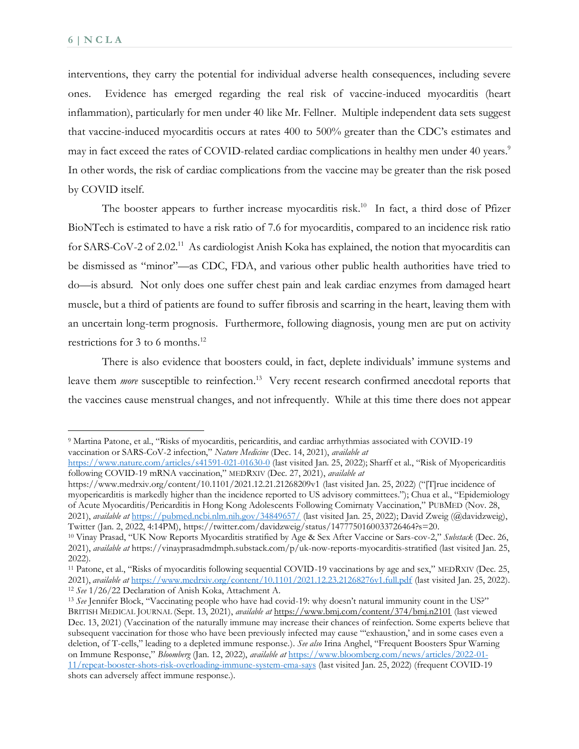interventions, they carry the potential for individual adverse health consequences, including severe ones. Evidence has emerged regarding the real risk of vaccine-induced myocarditis (heart inflammation), particularly for men under 40 like Mr. Fellner. Multiple independent data sets suggest that vaccine-induced myocarditis occurs at rates 400 to 500% greater than the CDC's estimates and may in fact exceed the rates of COVID-related cardiac complications in healthy men under 40 years.<sup>9</sup> In other words, the risk of cardiac complications from the vaccine may be greater than the risk posed by COVID itself.

The booster appears to further increase myocarditis risk.<sup>10</sup> In fact, a third dose of Pfizer BioNTech is estimated to have a risk ratio of 7.6 for myocarditis, compared to an incidence risk ratio for SARS-CoV-2 of 2.02.<sup>11</sup> As cardiologist Anish Koka has explained, the notion that myocarditis can be dismissed as "minor"—as CDC, FDA, and various other public health authorities have tried to do—is absurd. Not only does one suffer chest pain and leak cardiac enzymes from damaged heart muscle, but a third of patients are found to suffer fibrosis and scarring in the heart, leaving them with an uncertain long-term prognosis. Furthermore, following diagnosis, young men are put on activity restrictions for 3 to 6 months.<sup>12</sup>

There is also evidence that boosters could, in fact, deplete individuals' immune systems and leave them *more* susceptible to reinfection.<sup>13</sup> Very recent research confirmed anecdotal reports that the vaccines cause menstrual changes, and not infrequently. While at this time there does not appear

https://www.medrxiv.org/content/10.1101/2021.12.21.21268209v1 (last visited Jan. 25, 2022) ("[T]rue incidence of myopericarditis is markedly higher than the incidence reported to US advisory committees."); Chua et al., "Epidemiology of Acute Myocarditis/Pericarditis in Hong Kong Adolescents Following Comirnaty Vaccination," PUBMED (Nov. 28, 2021), *available at* <https://pubmed.ncbi.nlm.nih.gov/34849657/>(last visited Jan. 25, 2022); David Zweig (@davidzweig), Twitter (Jan. 2, 2022, 4:14PM), https://twitter.com/davidzweig/status/1477750160033726464?s=20.

<sup>9</sup> Martina Patone, et al., "Risks of myocarditis, pericarditis, and cardiac arrhythmias associated with COVID-19 vaccination or SARS-CoV-2 infection," *Nature Medicine* (Dec. 14, 2021), *available at*

<https://www.nature.com/articles/s41591-021-01630-0> (last visited Jan. 25, 2022); Sharff et al., "Risk of Myopericarditis following COVID-19 mRNA vaccination," MEDRXIV (Dec. 27, 2021), *available at* 

<sup>10</sup> Vinay Prasad, "UK Now Reports Myocarditis stratified by Age & Sex After Vaccine or Sars-cov-2," *Substack* (Dec. 26, 2021), *available at* https://vinayprasadmdmph.substack.com/p/uk-now-reports-myocarditis-stratified (last visited Jan. 25, 2022).

<sup>11</sup> Patone, et al., "Risks of myocarditis following sequential COVID-19 vaccinations by age and sex," MEDRXIV (Dec. 25, 2021), *available at* <https://www.medrxiv.org/content/10.1101/2021.12.23.21268276v1.full.pdf>(last visited Jan. 25, 2022). <sup>12</sup> *See* 1/26/22 Declaration of Anish Koka, Attachment A.

<sup>13</sup> *See* Jennifer Block, "Vaccinating people who have had covid-19: why doesn't natural immunity count in the US?" BRITISH MEDICAL JOURNAL (Sept. 13, 2021), *available at*<https://www.bmj.com/content/374/bmj.n2101>(last viewed Dec. 13, 2021) (Vaccination of the naturally immune may increase their chances of reinfection. Some experts believe that subsequent vaccination for those who have been previously infected may cause "'exhaustion,' and in some cases even a deletion, of T-cells," leading to a depleted immune response.). *See also* Irina Anghel, "Frequent Boosters Spur Warning on Immune Response," *Bloomberg* (Jan. 12, 2022), *available at* [https://www.bloomberg.com/news/articles/2022-01-](https://www.bloomberg.com/news/articles/2022-01-11/repeat-booster-shots-risk-overloading-immune-system-ema-says) [11/repeat-booster-shots-risk-overloading-immune-system-ema-says](https://www.bloomberg.com/news/articles/2022-01-11/repeat-booster-shots-risk-overloading-immune-system-ema-says) (last visited Jan. 25, 2022) (frequent COVID-19 shots can adversely affect immune response.).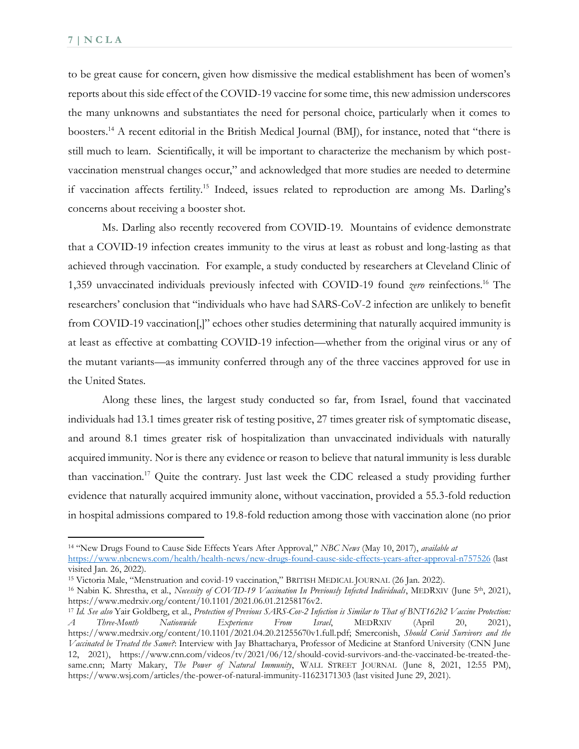to be great cause for concern, given how dismissive the medical establishment has been of women's reports about this side effect of the COVID-19 vaccine for some time, this new admission underscores the many unknowns and substantiates the need for personal choice, particularly when it comes to boosters.<sup>14</sup> A recent editorial in the British Medical Journal (BMJ), for instance, noted that "there is still much to learn. Scientifically, it will be important to characterize the mechanism by which postvaccination menstrual changes occur," and acknowledged that more studies are needed to determine if vaccination affects fertility.<sup>15</sup> Indeed, issues related to reproduction are among Ms. Darling's concerns about receiving a booster shot.

 Ms. Darling also recently recovered from COVID-19. Mountains of evidence demonstrate that a COVID-19 infection creates immunity to the virus at least as robust and long-lasting as that achieved through vaccination. For example, a study conducted by researchers at Cleveland Clinic of 1,359 unvaccinated individuals previously infected with COVID-19 found *zero* reinfections.<sup>16</sup> The researchers' conclusion that "individuals who have had SARS-CoV-2 infection are unlikely to benefit from COVID-19 vaccination[,]" echoes other studies determining that naturally acquired immunity is at least as effective at combatting COVID-19 infection—whether from the original virus or any of the mutant variants—as immunity conferred through any of the three vaccines approved for use in the United States.

Along these lines, the largest study conducted so far, from Israel, found that vaccinated individuals had 13.1 times greater risk of testing positive, 27 times greater risk of symptomatic disease, and around 8.1 times greater risk of hospitalization than unvaccinated individuals with naturally acquired immunity. Nor is there any evidence or reason to believe that natural immunity is less durable than vaccination.<sup>17</sup> Quite the contrary. Just last week the CDC released a study providing further evidence that naturally acquired immunity alone, without vaccination, provided a 55.3-fold reduction in hospital admissions compared to 19.8-fold reduction among those with vaccination alone (no prior

<sup>14</sup> "New Drugs Found to Cause Side Effects Years After Approval," *NBC News* (May 10, 2017), *available at*  <https://www.nbcnews.com/health/health-news/new-drugs-found-cause-side-effects-years-after-approval-n757526> (last

visited Jan. 26, 2022).

<sup>15</sup> Victoria Male, "Menstruation and covid-19 vaccination," BRITISH MEDICAL JOURNAL (26 Jan. 2022).

<sup>&</sup>lt;sup>16</sup> Nabin K. Shrestha, et al., *Necessity of COVID-19 Vaccination In Previously Infected Individuals*, MEDRXIV (June 5<sup>th</sup>, 2021), https://www.medrxiv.org/content/10.1101/2021.06.01.21258176v2.

<sup>17</sup> *Id. See also* Yair Goldberg, et al., *Protection of Previous SARS-Cov-2 Infection is Similar to That of BNT162b2 Vaccine Protection: A Three-Month Nationwide Experience From Israel*, MEDRXIV (April 20, 2021), https://www.medrxiv.org/content/10.1101/2021.04.20.21255670v1.full.pdf; Smerconish, *Should Covid Survivors and the Vaccinated be Treated the Same?*: Interview with Jay Bhattacharya, Professor of Medicine at Stanford University (CNN June 12, 2021), https://www.cnn.com/videos/tv/2021/06/12/should-covid-survivors-and-the-vaccinated-be-treated-thesame.cnn; Marty Makary, *The Power of Natural Immunity*, WALL STREET JOURNAL (June 8, 2021, 12:55 PM), https://www.wsj.com/articles/the-power-of-natural-immunity-11623171303 (last visited June 29, 2021).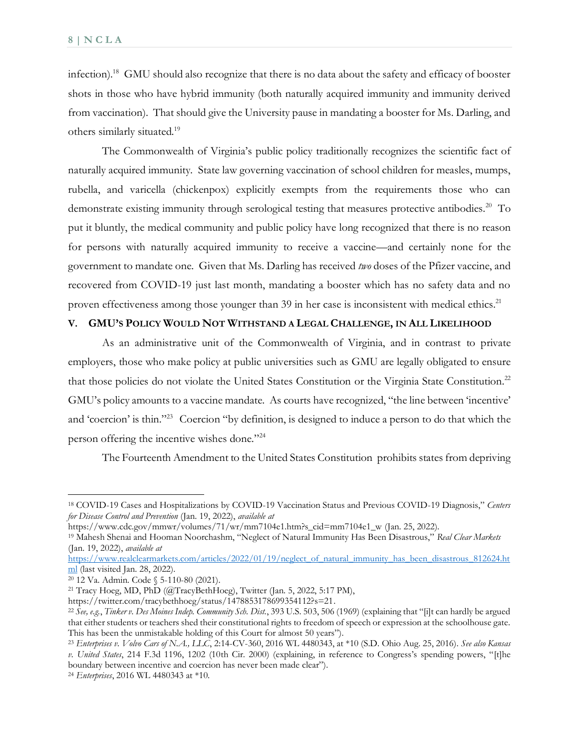infection).<sup>18</sup> GMU should also recognize that there is no data about the safety and efficacy of booster shots in those who have hybrid immunity (both naturally acquired immunity and immunity derived from vaccination). That should give the University pause in mandating a booster for Ms. Darling, and others similarly situated.<sup>19</sup>

The Commonwealth of Virginia's public policy traditionally recognizes the scientific fact of naturally acquired immunity. State law governing vaccination of school children for measles, mumps, rubella, and varicella (chickenpox) explicitly exempts from the requirements those who can demonstrate existing immunity through serological testing that measures protective antibodies.<sup>20</sup> To put it bluntly, the medical community and public policy have long recognized that there is no reason for persons with naturally acquired immunity to receive a vaccine—and certainly none for the government to mandate one. Given that Ms. Darling has received *two* doses of the Pfizer vaccine, and recovered from COVID-19 just last month, mandating a booster which has no safety data and no proven effectiveness among those younger than 39 in her case is inconsistent with medical ethics.<sup>21</sup>

#### **V. GMU'S POLICY WOULD NOT WITHSTAND A LEGAL CHALLENGE, IN ALL LIKELIHOOD**

As an administrative unit of the Commonwealth of Virginia, and in contrast to private employers, those who make policy at public universities such as GMU are legally obligated to ensure that those policies do not violate the United States Constitution or the Virginia State Constitution.<sup>22</sup> GMU's policy amounts to a vaccine mandate. As courts have recognized, "the line between 'incentive' and 'coercion' is thin."<sup>23</sup> Coercion "by definition, is designed to induce a person to do that which the person offering the incentive wishes done."<sup>24</sup>

The Fourteenth Amendment to the United States Constitution prohibits states from depriving

<sup>18</sup> COVID-19 Cases and Hospitalizations by COVID-19 Vaccination Status and Previous COVID-19 Diagnosis," *Centers for Disease Control and Prevention* (Jan. 19, 2022), *available at* 

https://www.cdc.gov/mmwr/volumes/71/wr/mm7104e1.htm?s\_cid=mm7104e1\_w (Jan. 25, 2022).

<sup>19</sup> Mahesh Shenai and Hooman Noorchashm, "Neglect of Natural Immunity Has Been Disastrous," *Real Clear Markets*  (Jan. 19, 2022), *available at* 

[https://www.realclearmarkets.com/articles/2022/01/19/neglect\\_of\\_natural\\_immunity\\_has\\_been\\_disastrous\\_812624.ht](https://www.realclearmarkets.com/articles/2022/01/19/neglect_of_natural_immunity_has_been_disastrous_812624.html) [ml](https://www.realclearmarkets.com/articles/2022/01/19/neglect_of_natural_immunity_has_been_disastrous_812624.html) (last visited Jan. 28, 2022).

<sup>20</sup> 12 Va. Admin. Code § 5-110-80 (2021).

<sup>21</sup> Tracy Hoeg, MD, PhD (@TracyBethHoeg), Twitter (Jan. 5, 2022, 5:17 PM),

https://twitter.com/tracybethhoeg/status/1478853178699354112?s=21.

<sup>22</sup> *See, e.g.*, *Tinker v. Des Moines Indep. Community Sch. Dist.*, 393 U.S. 503, 506 (1969) (explaining that "[i]t can hardly be argued that either students or teachers shed their constitutional rights to freedom of speech or expression at the schoolhouse gate. This has been the unmistakable holding of this Court for almost 50 years").

<sup>23</sup> *Enterprises v. Volvo Cars of N.A., LLC*, 2:14-CV-360, 2016 WL 4480343, at \*10 (S.D. Ohio Aug. 25, 2016). *See also Kansas v. United States*, 214 F.3d 1196, 1202 (10th Cir. 2000) (explaining, in reference to Congress's spending powers, "[t]he boundary between incentive and coercion has never been made clear").

<sup>24</sup> *Enterprises*, 2016 WL 4480343 at \*10.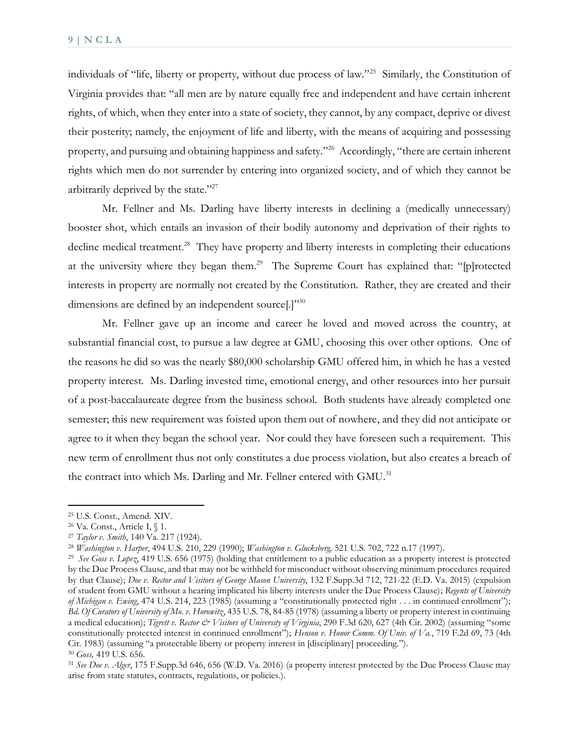individuals of "life, liberty or property, without due process of law."<sup>25</sup> Similarly, the Constitution of Virginia provides that: "all men are by nature equally free and independent and have certain inherent rights, of which, when they enter into a state of society, they cannot, by any compact, deprive or divest their posterity; namely, the enjoyment of life and liberty, with the means of acquiring and possessing property, and pursuing and obtaining happiness and safety."<sup>26</sup> Accordingly, "there are certain inherent rights which men do not surrender by entering into organized society, and of which they cannot be arbitrarily deprived by the state."<sup>27</sup>

Mr. Fellner and Ms. Darling have liberty interests in declining a (medically unnecessary) booster shot, which entails an invasion of their bodily autonomy and deprivation of their rights to decline medical treatment.<sup>28</sup> They have property and liberty interests in completing their educations at the university where they began them.<sup>29</sup> The Supreme Court has explained that: "[p]rotected interests in property are normally not created by the Constitution. Rather, they are created and their dimensions are defined by an independent source[.]"<sup>30</sup>

Mr. Fellner gave up an income and career he loved and moved across the country, at substantial financial cost, to pursue a law degree at GMU, choosing this over other options. One of the reasons he did so was the nearly \$80,000 scholarship GMU offered him, in which he has a vested property interest. Ms. Darling invested time, emotional energy, and other resources into her pursuit of a post-baccalaureate degree from the business school. Both students have already completed one semester; this new requirement was foisted upon them out of nowhere, and they did not anticipate or agree to it when they began the school year. Nor could they have foreseen such a requirement. This new term of enrollment thus not only constitutes a due process violation, but also creates a breach of the contract into which Ms. Darling and Mr. Fellner entered with GMU.<sup>31</sup>

<sup>25</sup> U.S. Const., Amend. XIV.

<sup>26</sup> Va. Const., Article I, § 1.

<sup>27</sup> *Taylor v. Smith*, 140 Va. 217 (1924).

<sup>28</sup> *Washington v. Harper*, 494 U.S. 210, 229 (1990); *Washington v. Glucksberg,* 521 U.S. 702, 722 n.17 (1997).

<sup>29</sup> *See Goss v. Lopez*, 419 U.S. 656 (1975) (holding that entitlement to a public education as a property interest is protected by the Due Process Clause, and that may not be withheld for misconduct without observing minimum procedures required by that Clause); *Doe v. Rector and Visitors of George Mason University*, 132 F.Supp.3d 712, 721-22 (E.D. Va. 2015) (expulsion of student from GMU without a hearing implicated his liberty interests under the Due Process Clause); *Regents of University of Michigan v. Ewing*, 474 U.S. 214, 223 (1985) (assuming a "constitutionally protected right . . . in continued enrollment"); *Bd. Of Curators of University of Mo. v. Horowitz*, 435 U.S. 78, 84-85 (1978) (assuming a liberty or property interest in continuing a medical education); *Tigrett v. Rector & Visitors of University of Virginia*, 290 F.3d 620, 627 (4th Cir. 2002) (assuming "some constitutionally protected interest in continued enrollment"); *Henson v. Honor Comm. Of Univ. of Va.*, 719 F.2d 69, 73 (4th Cir. 1983) (assuming "a protectable liberty or property interest in [disciplinary] proceeding."). <sup>30</sup> *Goss,* 419 U.S. 656.

<sup>31</sup> *See Doe v. Alger*, 175 F.Supp.3d 646, 656 (W.D. Va. 2016) (a property interest protected by the Due Process Clause may arise from state statutes, contracts, regulations, or policies.).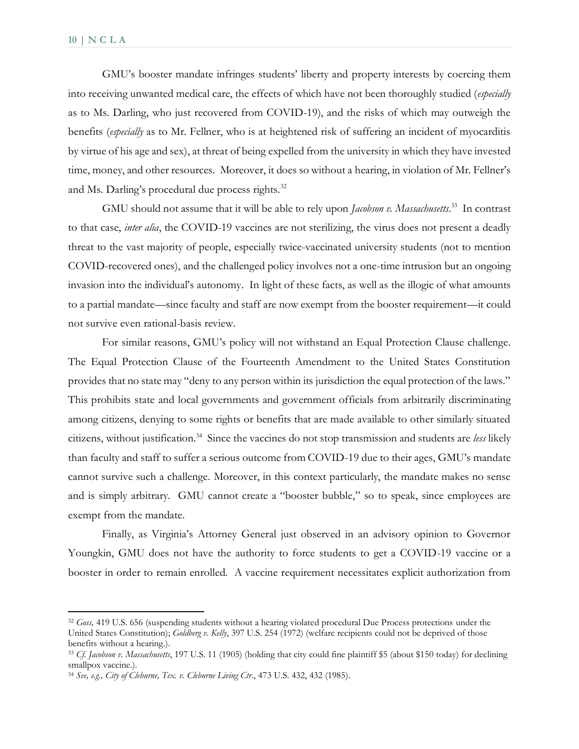GMU's booster mandate infringes students' liberty and property interests by coercing them into receiving unwanted medical care, the effects of which have not been thoroughly studied (*especially*  as to Ms. Darling, who just recovered from COVID-19), and the risks of which may outweigh the benefits (*especially* as to Mr. Fellner, who is at heightened risk of suffering an incident of myocarditis by virtue of his age and sex), at threat of being expelled from the university in which they have invested time, money, and other resources. Moreover, it does so without a hearing, in violation of Mr. Fellner's and Ms. Darling's procedural due process rights.<sup>32</sup>

GMU should not assume that it will be able to rely upon *Jacobson v. Massachusetts*. 33 In contrast to that case, *inter alia*, the COVID-19 vaccines are not sterilizing, the virus does not present a deadly threat to the vast majority of people, especially twice-vaccinated university students (not to mention COVID-recovered ones), and the challenged policy involves not a one-time intrusion but an ongoing invasion into the individual's autonomy. In light of these facts, as well as the illogic of what amounts to a partial mandate—since faculty and staff are now exempt from the booster requirement—it could not survive even rational-basis review.

For similar reasons, GMU's policy will not withstand an Equal Protection Clause challenge. The Equal Protection Clause of the Fourteenth Amendment to the United States Constitution provides that no state may "deny to any person within its jurisdiction the equal protection of the laws." This prohibits state and local governments and government officials from arbitrarily discriminating among citizens, denying to some rights or benefits that are made available to other similarly situated citizens, without justification.<sup>34</sup> Since the vaccines do not stop transmission and students are *less* likely than faculty and staff to suffer a serious outcome from COVID-19 due to their ages, GMU's mandate cannot survive such a challenge. Moreover, in this context particularly, the mandate makes no sense and is simply arbitrary. GMU cannot create a "booster bubble," so to speak, since employees are exempt from the mandate.

Finally, as Virginia's Attorney General just observed in an advisory opinion to Governor Youngkin, GMU does not have the authority to force students to get a COVID-19 vaccine or a booster in order to remain enrolled. A vaccine requirement necessitates explicit authorization from

<sup>32</sup> *Goss,* 419 U.S. 656 (suspending students without a hearing violated procedural Due Process protections under the United States Constitution); *Goldberg v. Kelly*, 397 U.S. 254 (1972) (welfare recipients could not be deprived of those benefits without a hearing.).

<sup>33</sup> *Cf. Jacobson v. Massachusetts*, 197 U.S. 11 (1905) (holding that city could fine plaintiff \$5 (about \$150 today) for declining smallpox vaccine.).

<sup>34</sup> *See, e.g., City of Cleburne, Tex. v. Cleburne Living Ctr*., 473 U.S. 432, 432 (1985).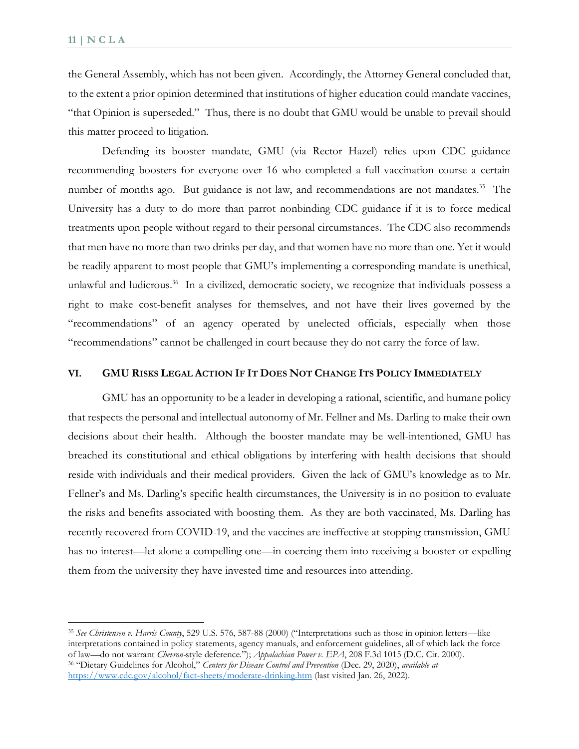the General Assembly, which has not been given. Accordingly, the Attorney General concluded that, to the extent a prior opinion determined that institutions of higher education could mandate vaccines, "that Opinion is superseded." Thus, there is no doubt that GMU would be unable to prevail should this matter proceed to litigation.

Defending its booster mandate, GMU (via Rector Hazel) relies upon CDC guidance recommending boosters for everyone over 16 who completed a full vaccination course a certain number of months ago. But guidance is not law, and recommendations are not mandates.<sup>35</sup> The University has a duty to do more than parrot nonbinding CDC guidance if it is to force medical treatments upon people without regard to their personal circumstances. The CDC also recommends that men have no more than two drinks per day, and that women have no more than one. Yet it would be readily apparent to most people that GMU's implementing a corresponding mandate is unethical, unlawful and ludicrous.<sup>36</sup> In a civilized, democratic society, we recognize that individuals possess a right to make cost-benefit analyses for themselves, and not have their lives governed by the "recommendations" of an agency operated by unelected officials, especially when those "recommendations" cannot be challenged in court because they do not carry the force of law.

#### VI. GMU RISKS LEGAL ACTION IF IT DOES NOT CHANGE ITS POLICY IMMEDIATELY

GMU has an opportunity to be a leader in developing a rational, scientific, and humane policy that respects the personal and intellectual autonomy of Mr. Fellner and Ms. Darling to make their own decisions about their health. Although the booster mandate may be well-intentioned, GMU has breached its constitutional and ethical obligations by interfering with health decisions that should reside with individuals and their medical providers. Given the lack of GMU's knowledge as to Mr. Fellner's and Ms. Darling's specific health circumstances, the University is in no position to evaluate the risks and benefits associated with boosting them. As they are both vaccinated, Ms. Darling has recently recovered from COVID-19, and the vaccines are ineffective at stopping transmission, GMU has no interest—let alone a compelling one—in coercing them into receiving a booster or expelling them from the university they have invested time and resources into attending.

<sup>35</sup> *See Christensen v. Harris County*, 529 U.S. 576, 587-88 (2000) ("Interpretations such as those in opinion letters—like interpretations contained in policy statements, agency manuals, and enforcement guidelines, all of which lack the force of law—do not warrant *Chevron-*style deference."); *Appalachian Power v. EPA*, 208 F.3d 1015 (D.C. Cir. 2000). <sup>36</sup> "Dietary Guidelines for Alcohol," *Centers for Disease Control and Prevention* (Dec. 29, 2020), *available at*  <https://www.cdc.gov/alcohol/fact-sheets/moderate-drinking.htm>(last visited Jan. 26, 2022).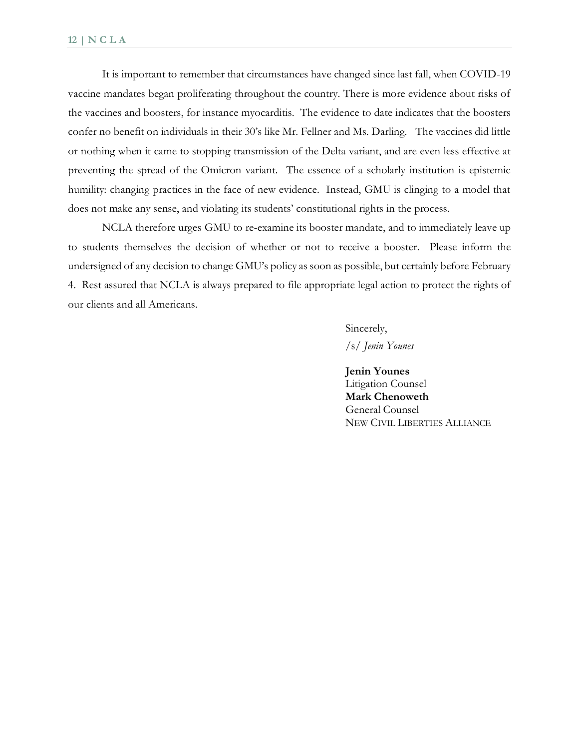It is important to remember that circumstances have changed since last fall, when COVID-19 vaccine mandates began proliferating throughout the country. There is more evidence about risks of the vaccines and boosters, for instance myocarditis. The evidence to date indicates that the boosters confer no benefit on individuals in their 30's like Mr. Fellner and Ms. Darling. The vaccines did little or nothing when it came to stopping transmission of the Delta variant, and are even less effective at preventing the spread of the Omicron variant. The essence of a scholarly institution is epistemic humility: changing practices in the face of new evidence. Instead, GMU is clinging to a model that does not make any sense, and violating its students' constitutional rights in the process.

NCLA therefore urges GMU to re-examine its booster mandate, and to immediately leave up to students themselves the decision of whether or not to receive a booster. Please inform the undersigned of any decision to change GMU's policy as soon as possible, but certainly before February 4. Rest assured that NCLA is always prepared to file appropriate legal action to protect the rights of our clients and all Americans.

> Sincerely, /s/ *Jenin Younes*

**Jenin Younes**  Litigation Counsel **Mark Chenoweth**  General Counsel NEW CIVIL LIBERTIES ALLIANCE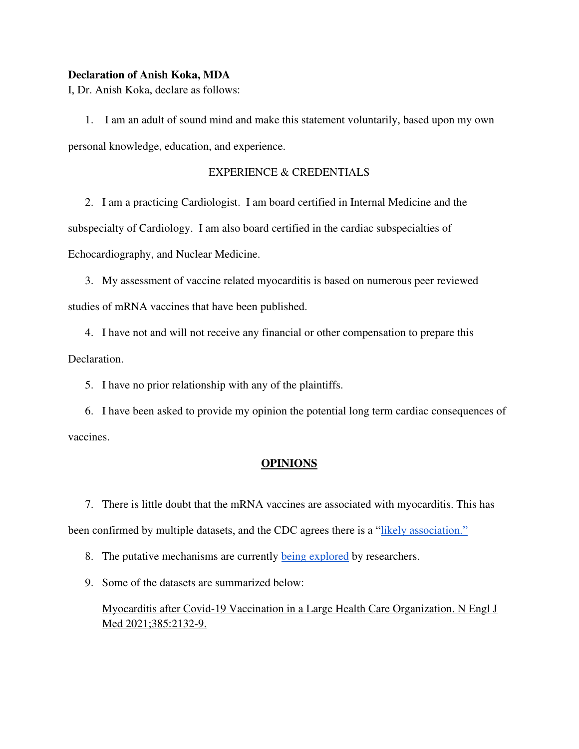#### **Declaration of Anish Koka, MDA**

I, Dr. Anish Koka, declare as follows:

1. I am an adult of sound mind and make this statement voluntarily, based upon my own personal knowledge, education, and experience.

### EXPERIENCE & CREDENTIALS

2. I am a practicing Cardiologist. I am board certified in Internal Medicine and the subspecialty of Cardiology. I am also board certified in the cardiac subspecialties of Echocardiography, and Nuclear Medicine.

3. My assessment of vaccine related myocarditis is based on numerous peer reviewed studies of mRNA vaccines that have been published.

4. I have not and will not receive any financial or other compensation to prepare this Declaration.

5. I have no prior relationship with any of the plaintiffs.

6. I have been asked to provide my opinion the potential long term cardiac consequences of vaccines.

#### **OPINIONS**

7. There is little doubt that the mRNA vaccines are associated with myocarditis. This has been confirmed by multiple datasets, and the CDC agrees there is a ["likely association."](https://www.wsj.com/articles/cdc-advisory-group-says-likely-association-between-mrna-covid-19-vaccines-and-rare-myocarditis-cases-11624479115)

8. The putative mechanisms are currently [being explored](https://www.wsj.com/articles/researchers-probe-link-between-covid-19-vaccines-and-myocarditis-11636290002) by researchers.

9. Some of the datasets are summarized below:

Myocarditis after Covid-19 Vaccination in a Large Health Care Organization. N Engl J Med 2021;385:2132-9.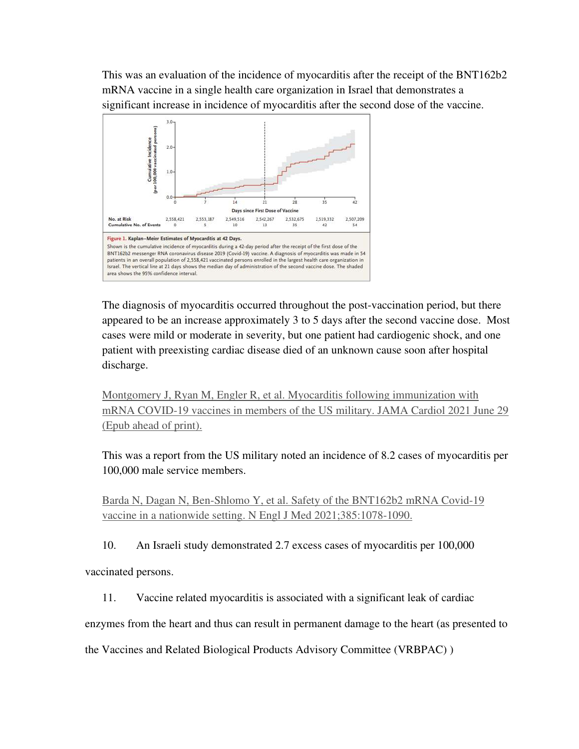This was an evaluation of the incidence of myocarditis after the receipt of the BNT162b2 mRNA vaccine in a single health care organization in Israel that demonstrates a significant increase in incidence of myocarditis after the second dose of the vaccine.



The diagnosis of myocarditis occurred throughout the post-vaccination period, but there appeared to be an increase approximately 3 to 5 days after the second vaccine dose. Most cases were mild or moderate in severity, but one patient had cardiogenic shock, and one patient with preexisting cardiac disease died of an unknown cause soon after hospital discharge.

Montgomery J, Ryan M, Engler R, et al. Myocarditis following immunization with mRNA COVID-19 vaccines in members of the US military. JAMA Cardiol 2021 June 29 (Epub ahead of print).

This was a report from the US military noted an incidence of 8.2 cases of myocarditis per 100,000 male service members.

Barda N, Dagan N, Ben-Shlomo Y, et al. Safety of the BNT162b2 mRNA Covid-19 vaccine in a nationwide setting. N Engl J Med 2021;385:1078-1090.

10. An Israeli study demonstrated 2.7 excess cases of myocarditis per 100,000

vaccinated persons.

11. Vaccine related myocarditis is associated with a significant leak of cardiac

enzymes from the heart and thus can result in permanent damage to the heart (as presented to

the Vaccines and Related Biological Products Advisory Committee (VRBPAC) )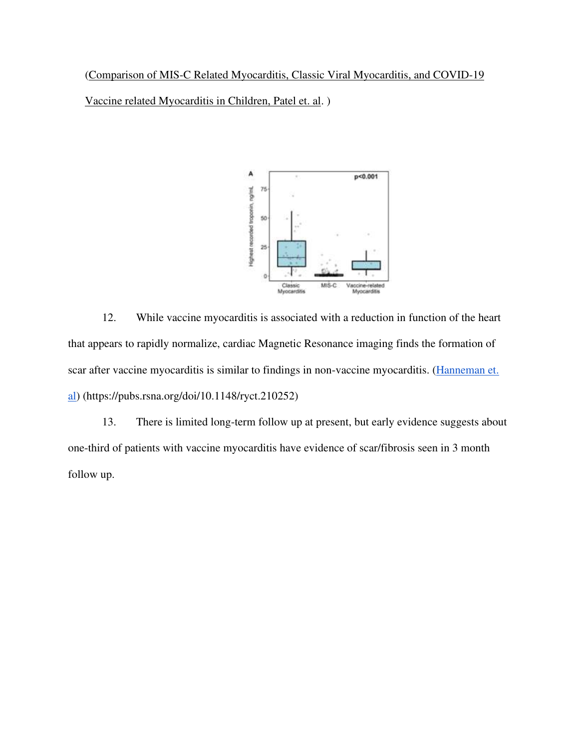[\(Comparison of MIS-C Related Myocarditis, Classic Viral Myocarditis, and COVID-19](https://www.medrxiv.org/content/10.1101/2021.10.05.21264581v1.full.pdf) 

[Vaccine related Myocarditis in Children, Patel et. al.](https://www.medrxiv.org/content/10.1101/2021.10.05.21264581v1.full.pdf) )



12. While vaccine myocarditis is associated with a reduction in function of the heart that appears to rapidly normalize, cardiac Magnetic Resonance imaging finds the formation of scar after vaccine myocarditis is similar to findings in non-vaccine myocarditis. [\(Hanneman et.](https://pubs.rsna.org/doi/10.1148/ryct.210252))  [al\)](https://pubs.rsna.org/doi/10.1148/ryct.210252)) (https://pubs.rsna.org/doi/10.1148/ryct.210252)

13. There is limited long-term follow up at present, but early evidence suggests about one-third of patients with vaccine myocarditis have evidence of scar/fibrosis seen in 3 month follow up.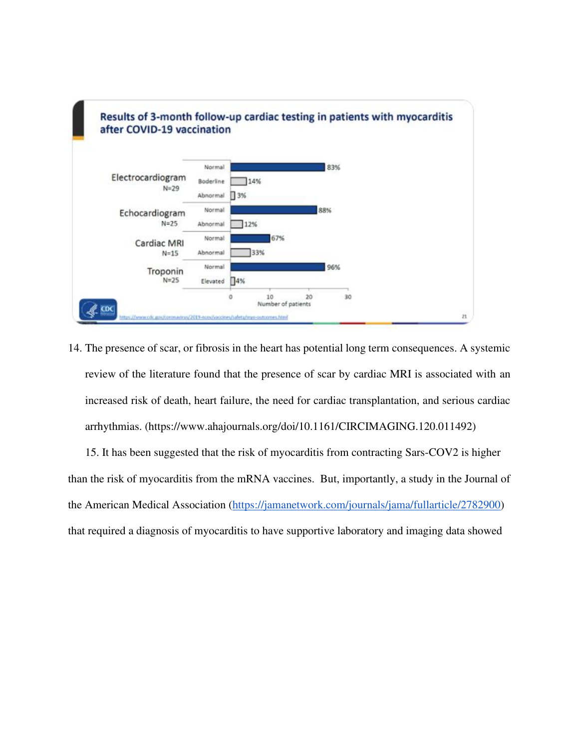

14. The presence of scar, or fibrosis in the heart has potential long term consequences. A systemic review of the literature found that the presence of scar by cardiac MRI is associated with an increased risk of death, heart failure, the need for cardiac transplantation, and serious cardiac arrhythmias. (https://www.ahajournals.org/doi/10.1161/CIRCIMAGING.120.011492)

15. It has been suggested that the risk of myocarditis from contracting Sars-COV2 is higher than the risk of myocarditis from the mRNA vaccines. But, importantly, a study in the Journal of the American Medical Association [\(https://jamanetwork.com/journals/jama/fullarticle/2782900\)](https://jamanetwork.com/journals/jama/fullarticle/2782900) that required a diagnosis of myocarditis to have supportive laboratory and imaging data showed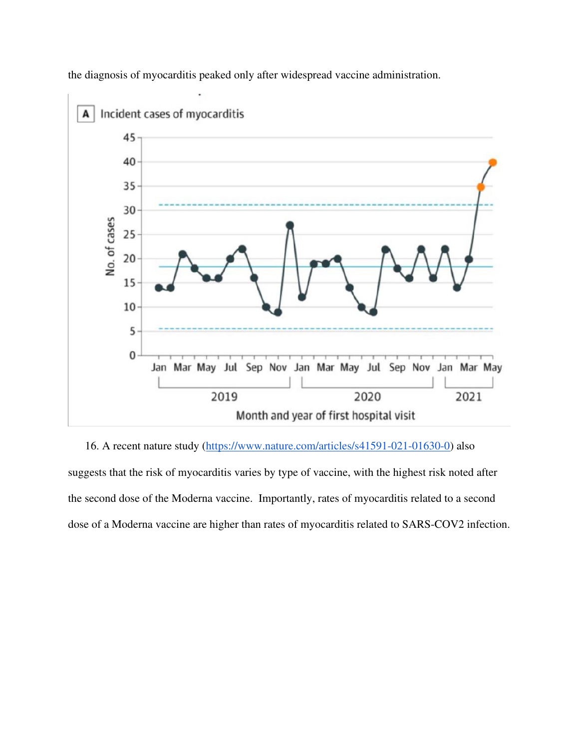

the diagnosis of myocarditis peaked only after widespread vaccine administration.

16. A recent nature study [\(https://www.nature.com/articles/s41591-021-01630-0\)](https://www.nature.com/articles/s41591-021-01630-0) also suggests that the risk of myocarditis varies by type of vaccine, with the highest risk noted after the second dose of the Moderna vaccine. Importantly, rates of myocarditis related to a second dose of a Moderna vaccine are higher than rates of myocarditis related to SARS-COV2 infection.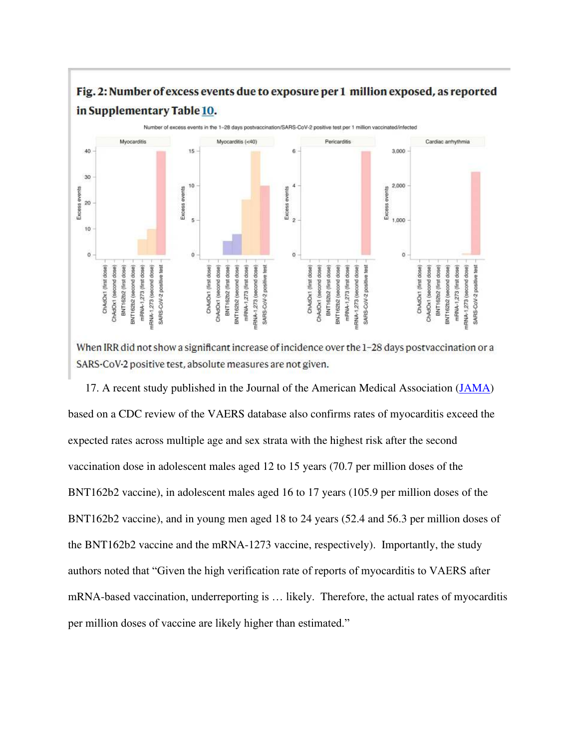# Fig. 2: Number of excess events due to exposure per 1 million exposed, as reported in Supplementary Table 10.



When IRR did not show a significant increase of incidence over the 1-28 days postvaccination or a SARS-CoV-2 positive test, absolute measures are not given.

17. A recent study published in the Journal of the American Medical Association [\(JAMA\)](https://jamanetwork.com/journals/jama/fullarticle/2788346) based on a CDC review of the VAERS database also confirms rates of myocarditis exceed the expected rates across multiple age and sex strata with the highest risk after the second vaccination dose in adolescent males aged 12 to 15 years (70.7 per million doses of the BNT162b2 vaccine), in adolescent males aged 16 to 17 years (105.9 per million doses of the BNT162b2 vaccine), and in young men aged 18 to 24 years (52.4 and 56.3 per million doses of the BNT162b2 vaccine and the mRNA-1273 vaccine, respectively). Importantly, the study authors noted that "Given the high verification rate of reports of myocarditis to VAERS after mRNA-based vaccination, underreporting is … likely. Therefore, the actual rates of myocarditis per million doses of vaccine are likely higher than estimated."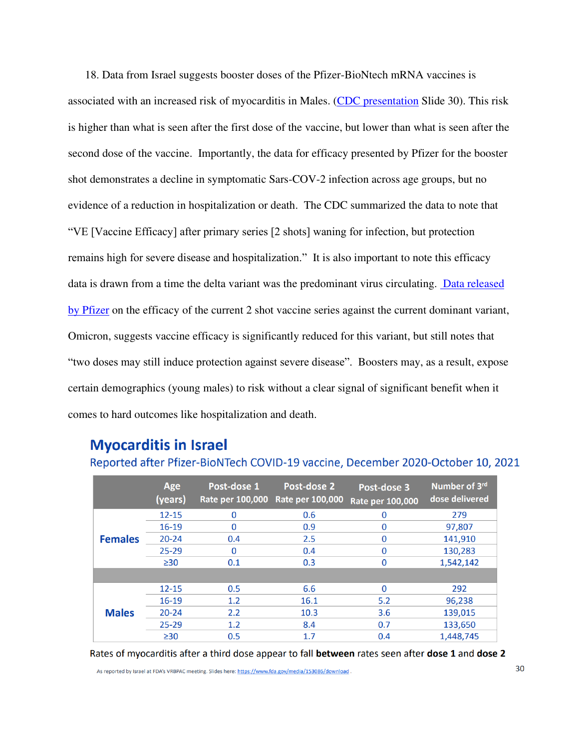18. Data from Israel suggests booster doses of the Pfizer-BioNtech mRNA vaccines is associated with an increased risk of myocarditis in Males. [\(CDC presentation](https://www.cdc.gov/vaccines/acip/meetings/downloads/slides-2021-11-19/06-COVID-Oliver-508.pdf) Slide 30). This risk is higher than what is seen after the first dose of the vaccine, but lower than what is seen after the second dose of the vaccine. Importantly, the data for efficacy presented by Pfizer for the booster shot demonstrates a decline in symptomatic Sars-COV-2 infection across age groups, but no evidence of a reduction in hospitalization or death. The CDC summarized the data to note that "VE [Vaccine Efficacy] after primary series [2 shots] waning for infection, but protection remains high for severe disease and hospitalization." It is also important to note this efficacy data is drawn from a time the delta variant was the predominant virus circulating. [Data released](https://www.pfizer.com/news/press-release/press-release-detail/pfizer-and-biontech-provide-update-omicron-variant)  [by Pfizer](https://www.pfizer.com/news/press-release/press-release-detail/pfizer-and-biontech-provide-update-omicron-variant) on the efficacy of the current 2 shot vaccine series against the current dominant variant, Omicron, suggests vaccine efficacy is significantly reduced for this variant, but still notes that "two doses may still induce protection against severe disease". Boosters may, as a result, expose certain demographics (young males) to risk without a clear signal of significant benefit when it comes to hard outcomes like hospitalization and death.

# **Myocarditis in Israel**

|                | Age<br>(years) | Post-dose 1 | Post-dose 2<br>Rate per 100,000 Rate per 100,000 | Post-dose 3<br>Rate per 100,000 | Number of 3rd<br>dose delivered |
|----------------|----------------|-------------|--------------------------------------------------|---------------------------------|---------------------------------|
| <b>Females</b> | $12 - 15$      | 0           | 0.6                                              | 0                               | 279                             |
|                | $16 - 19$      | $\Omega$    | 0.9                                              | $\mathbf 0$                     | 97,807                          |
|                | $20 - 24$      | 0.4         | 2.5                                              | 0                               | 141,910                         |
|                | $25 - 29$      | 0           | 0.4                                              | 0                               | 130,283                         |
|                | $\geq$ 30      | 0.1         | 0.3                                              | 0                               | 1,542,142                       |
|                |                |             |                                                  |                                 |                                 |
| <b>Males</b>   | $12 - 15$      | 0.5         | 6.6                                              | $\Omega$                        | 292                             |
|                | $16 - 19$      | 1.2         | 16.1                                             | 5.2                             | 96,238                          |
|                | $20 - 24$      | 2.2         | 10.3                                             | 3.6                             | 139,015                         |
|                | $25 - 29$      | 1.2         | 8.4                                              | 0.7                             | 133,650                         |
|                | $\geq$ 30      | 0.5         | 1.7                                              | 0.4                             | 1,448,745                       |

### Reported after Pfizer-BioNTech COVID-19 vaccine, December 2020-October 10, 2021

Rates of myocarditis after a third dose appear to fall between rates seen after dose 1 and dose 2

As reported by Israel at FDA's VRBPAC meeting. Slides here: https://www.fda.gov/media/153086/download.